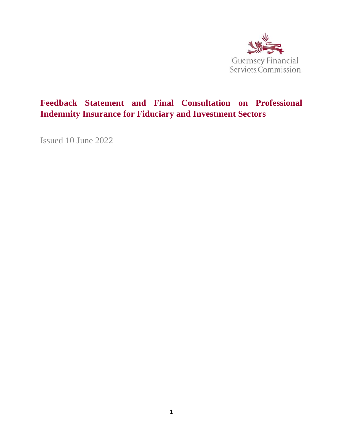

# **Feedback Statement and Final Consultation on Professional Indemnity Insurance for Fiduciary and Investment Sectors**

Issued 10 June 2022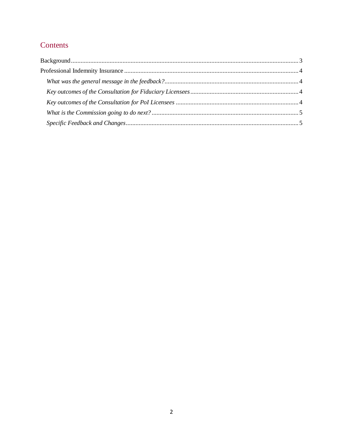# Contents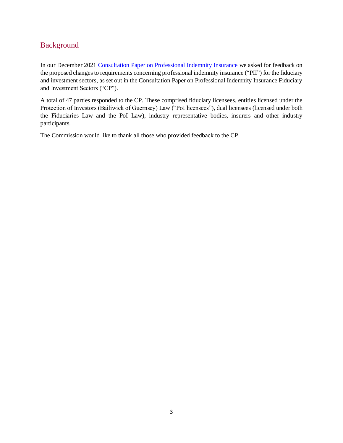## <span id="page-2-0"></span>Background

In our December 2021 [Consultation Paper on Professional Indemnity Insurance](https://www.gfsc.gg/sites/default/files/2021-12/20211207%20-%20PII%20CP%20-%20Investment%20and%20Fiduciary.pdf) we asked for feedback on the proposed changes to requirements concerning professional indemnity insurance ("PII") for the fiduciary and investment sectors, as set out in the Consultation Paper on Professional Indemnity Insurance Fiduciary and Investment Sectors ("CP").

A total of 47 parties responded to the CP. These comprised fiduciary licensees, entities licensed under the Protection of Investors (Bailiwick of Guernsey) Law ("PoI licensees"), dual licensees (licensed under both the Fiduciaries Law and the PoI Law), industry representative bodies, insurers and other industry participants.

The Commission would like to thank all those who provided feedback to the CP.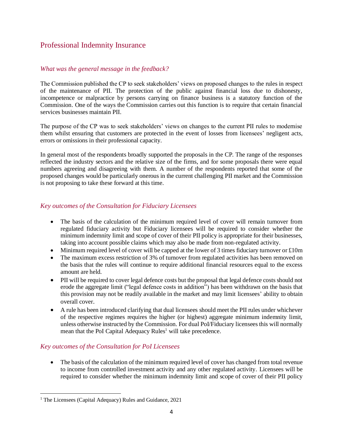## <span id="page-3-0"></span>Professional Indemnity Insurance

## <span id="page-3-1"></span>*What was the general message in the feedback?*

The Commission published the CP to seek stakeholders' views on proposed changes to the rules in respect of the maintenance of PII. The protection of the public against financial loss due to dishonesty, incompetence or malpractice by persons carrying on finance business is a statutory function of the Commission. One of the ways the Commission carries out this function is to require that certain financial services businesses maintain PII.

The purpose of the CP was to seek stakeholders' views on changes to the current PII rules to modernise them whilst ensuring that customers are protected in the event of losses from licensees' negligent acts, errors or omissions in their professional capacity.

In general most of the respondents broadly supported the proposals in the CP. The range of the responses reflected the industry sectors and the relative size of the firms, and for some proposals there were equal numbers agreeing and disagreeing with them. A number of the respondents reported that some of the proposed changes would be particularly onerous in the current challenging PII market and the Commission is not proposing to take these forward at this time.

## <span id="page-3-2"></span>*Key outcomes of the Consultation for Fiduciary Licensees*

- The basis of the calculation of the minimum required level of cover will remain turnover from regulated fiduciary activity but Fiduciary licensees will be required to consider whether the minimum indemnity limit and scope of cover of their PII policy is appropriate for their businesses, taking into account possible claims which may also be made from non-regulated activity.
- Minimum required level of cover will be capped at the lower of 3 times fiduciary turnover or  $\text{\pounds}10\text{m}$
- The maximum excess restriction of 3% of turnover from regulated activities has been removed on the basis that the rules will continue to require additional financial resources equal to the excess amount are held.
- PII will be required to cover legal defence costs but the proposal that legal defence costs should not erode the aggregate limit ("legal defence costs in addition") has been withdrawn on the basis that this provision may not be readily available in the market and may limit licensees' ability to obtain overall cover.
- A rule has been introduced clarifying that dual licensees should meet the PII rules under whichever of the respective regimes requires the higher (or highest) aggregate minimum indemnity limit, unless otherwise instructed by the Commission. For dual PoI/Fiduciary licensees this will normally mean that the PoI Capital Adequacy Rules<sup>1</sup> will take precedence.

## <span id="page-3-3"></span>*Key outcomes of the Consultation for PoI Licensees*

• The basis of the calculation of the minimum required level of cover has changed from total revenue to income from controlled investment activity and any other regulated activity. Licensees will be required to consider whether the minimum indemnity limit and scope of cover of their PII policy

<sup>1</sup> The Licensees (Capital Adequacy) Rules and Guidance, 2021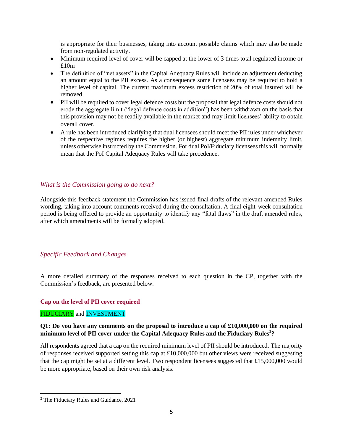is appropriate for their businesses, taking into account possible claims which may also be made from non-regulated activity.

- Minimum required level of cover will be capped at the lower of 3 times total regulated income or £10m
- The definition of "net assets" in the Capital Adequacy Rules will include an adjustment deducting an amount equal to the PII excess. As a consequence some licensees may be required to hold a higher level of capital. The current maximum excess restriction of 20% of total insured will be removed.
- PII will be required to cover legal defence costs but the proposal that legal defence costs should not erode the aggregate limit ("legal defence costs in addition") has been withdrawn on the basis that this provision may not be readily available in the market and may limit licensees' ability to obtain overall cover.
- A rule has been introduced clarifying that dual licensees should meet the PII rules under whichever of the respective regimes requires the higher (or highest) aggregate minimum indemnity limit, unless otherwise instructed by the Commission. For dual PoI/Fiduciary licensees this will normally mean that the PoI Capital Adequacy Rules will take precedence.

## <span id="page-4-0"></span>*What is the Commission going to do next?*

Alongside this feedback statement the Commission has issued final drafts of the relevant amended Rules wording, taking into account comments received during the consultation. A final eight-week consultation period is being offered to provide an opportunity to identify any "fatal flaws" in the draft amended rules, after which amendments will be formally adopted.

## <span id="page-4-1"></span>*Specific Feedback and Changes*

A more detailed summary of the responses received to each question in the CP, together with the Commission's feedback, are presented below.

#### **Cap on the level of PII cover required**

#### FIDUCIARY and INVESTMENT

## **Q1: Do you have any comments on the proposal to introduce a cap of £10,000,000 on the required minimum level of PII cover under the Capital Adequacy Rules and the Fiduciary Rules<sup>2</sup> ?**

All respondents agreed that a cap on the required minimum level of PII should be introduced. The majority of responses received supported setting this cap at £10,000,000 but other views were received suggesting that the cap might be set at a different level. Two respondent licensees suggested that £15,000,000 would be more appropriate, based on their own risk analysis.

<sup>2</sup> The Fiduciary Rules and Guidance, 2021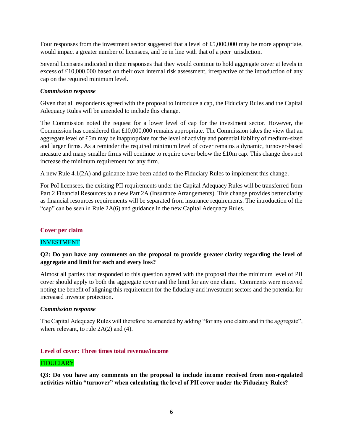Four responses from the investment sector suggested that a level of £5,000,000 may be more appropriate, would impact a greater number of licensees, and be in line with that of a peer jurisdiction.

Several licensees indicated in their responses that they would continue to hold aggregate cover at levels in excess of  $\pounds10,000,000$  based on their own internal risk assessment, irrespective of the introduction of any cap on the required minimum level.

#### *Commission response*

Given that all respondents agreed with the proposal to introduce a cap, the Fiduciary Rules and the Capital Adequacy Rules will be amended to include this change.

The Commission noted the request for a lower level of cap for the investment sector. However, the Commission has considered that £10,000,000 remains appropriate. The Commission takes the view that an aggregate level of £5m may be inappropriate for the level of activity and potential liability of medium-sized and larger firms. As a reminder the required minimum level of cover remains a dynamic, turnover-based measure and many smaller firms will continue to require cover below the £10m cap. This change does not increase the minimum requirement for any firm.

A new Rule 4.1(2A) and guidance have been added to the Fiduciary Rules to implement this change.

For PoI licensees, the existing PII requirements under the Capital Adequacy Rules will be transferred from Part 2 Financial Resources to a new Part 2A (Insurance Arrangements). This change provides better clarity as financial resources requirements will be separated from insurance requirements. The introduction of the "cap" can be seen in Rule 2A(6) and guidance in the new Capital Adequacy Rules.

#### **Cover per claim**

## INVESTMENT

## **Q2: Do you have any comments on the proposal to provide greater clarity regarding the level of aggregate and limit for each and every loss?**

Almost all parties that responded to this question agreed with the proposal that the minimum level of PII cover should apply to both the aggregate cover and the limit for any one claim. Comments were received noting the benefit of aligning this requirement for the fiduciary and investment sectors and the potential for increased investor protection.

#### *Commission response*

The Capital Adequacy Rules will therefore be amended by adding "for any one claim and in the aggregate", where relevant, to rule 2A(2) and (4).

#### **Level of cover: Three times total revenue/income**

#### FIDUCIARY

**Q3: Do you have any comments on the proposal to include income received from non-regulated activities within "turnover" when calculating the level of PII cover under the Fiduciary Rules?**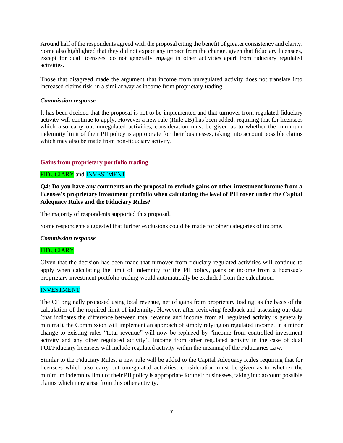Around half of the respondents agreed with the proposal citing the benefit of greater consistency and clarity. Some also highlighted that they did not expect any impact from the change, given that fiduciary licensees, except for dual licensees, do not generally engage in other activities apart from fiduciary regulated activities.

Those that disagreed made the argument that income from unregulated activity does not translate into increased claims risk, in a similar way as income from proprietary trading.

#### *Commission response*

It has been decided that the proposal is not to be implemented and that turnover from regulated fiduciary activity will continue to apply. However a new rule (Rule 2B) has been added, requiring that for licensees which also carry out unregulated activities, consideration must be given as to whether the minimum indemnity limit of their PII policy is appropriate for their businesses, taking into account possible claims which may also be made from non-fiduciary activity.

#### **Gains from proprietary portfolio trading**

## FIDUCIARY and INVESTMENT

**Q4: Do you have any comments on the proposal to exclude gains or other investment income from a licensee's proprietary investment portfolio when calculating the level of PII cover under the Capital Adequacy Rules and the Fiduciary Rules?**

The majority of respondents supported this proposal.

Some respondents suggested that further exclusions could be made for other categories of income.

#### *Commission response*

#### FIDUCIARY

Given that the decision has been made that turnover from fiduciary regulated activities will continue to apply when calculating the limit of indemnity for the PII policy, gains or income from a licensee's proprietary investment portfolio trading would automatically be excluded from the calculation.

#### INVESTMENT

The CP originally proposed using total revenue, net of gains from proprietary trading, as the basis of the calculation of the required limit of indemnity. However, after reviewing feedback and assessing our data (that indicates the difference between total revenue and income from all regulated activity is generally minimal), the Commission will implement an approach of simply relying on regulated income. In a minor change to existing rules "total revenue" will now be replaced by "income from controlled investment activity and any other regulated activity". Income from other regulated activity in the case of dual POI/Fiduciary licensees will include regulated activity within the meaning of the Fiduciaries Law.

Similar to the Fiduciary Rules, a new rule will be added to the Capital Adequacy Rules requiring that for licensees which also carry out unregulated activities, consideration must be given as to whether the minimum indemnity limit of their PII policy is appropriate for their businesses, taking into account possible claims which may arise from this other activity.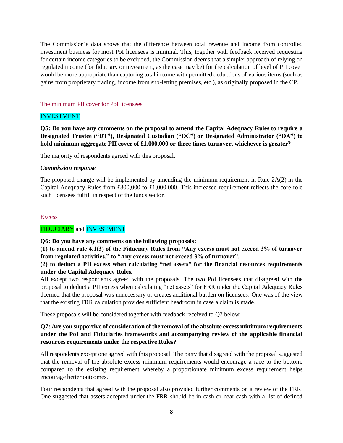The Commission's data shows that the difference between total revenue and income from controlled investment business for most PoI licensees is minimal. This, together with feedback received requesting for certain income categories to be excluded, the Commission deems that a simpler approach of relying on regulated income (for fiduciary or investment, as the case may be) for the calculation of level of PII cover would be more appropriate than capturing total income with permitted deductions of various items (such as gains from proprietary trading, income from sub-letting premises, etc.), as originally proposed in the CP.

#### The minimum PII cover for PoI licensees

## INVESTMENT

**Q5: Do you have any comments on the proposal to amend the Capital Adequacy Rules to require a Designated Trustee ("DT"), Designated Custodian ("DC") or Designated Administrator ("DA") to hold minimum aggregate PII cover of £1,000,000 or three times turnover, whichever is greater?**

The majority of respondents agreed with this proposal.

#### *Commission response*

The proposed change will be implemented by amending the minimum requirement in Rule 2A(2) in the Capital Adequacy Rules from £300,000 to £1,000,000. This increased requirement reflects the core role such licensees fulfill in respect of the funds sector.

#### **Excess**

## FIDUCIARY and INVESTMENT

**Q6: Do you have any comments on the following proposals:** 

**(1) to amend rule 4.1(3) of the Fiduciary Rules from "Any excess must not exceed 3% of turnover from regulated activities." to "Any excess must not exceed 3% of turnover".** 

## **(2) to deduct a PII excess when calculating "net assets" for the financial resources requirements under the Capital Adequacy Rules.**

All except two respondents agreed with the proposals. The two PoI licensees that disagreed with the proposal to deduct a PII excess when calculating "net assets" for FRR under the Capital Adequacy Rules deemed that the proposal was unnecessary or creates additional burden on licensees. One was of the view that the existing FRR calculation provides sufficient headroom in case a claim is made.

These proposals will be considered together with feedback received to Q7 below.

## **Q7: Are you supportive of consideration of the removal of the absolute excess minimum requirements under the PoI and Fiduciaries frameworks and accompanying review of the applicable financial resources requirements under the respective Rules?**

All respondents except one agreed with this proposal. The party that disagreed with the proposal suggested that the removal of the absolute excess minimum requirements would encourage a race to the bottom, compared to the existing requirement whereby a proportionate minimum excess requirement helps encourage better outcomes.

Four respondents that agreed with the proposal also provided further comments on a review of the FRR. One suggested that assets accepted under the FRR should be in cash or near cash with a list of defined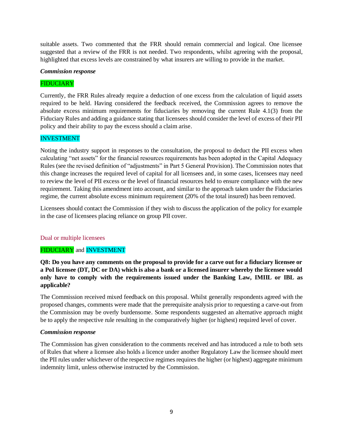suitable assets. Two commented that the FRR should remain commercial and logical. One licensee suggested that a review of the FRR is not needed. Two respondents, whilst agreeing with the proposal, highlighted that excess levels are constrained by what insurers are willing to provide in the market.

#### *Commission response*

#### FIDUCIARY

Currently, the FRR Rules already require a deduction of one excess from the calculation of liquid assets required to be held. Having considered the feedback received, the Commission agrees to remove the absolute excess minimum requirements for fiduciaries by removing the current Rule 4.1(3) from the Fiduciary Rules and adding a guidance stating that licensees should consider the level of excess of their PII policy and their ability to pay the excess should a claim arise.

## INVESTMENT

Noting the industry support in responses to the consultation, the proposal to deduct the PII excess when calculating "net assets" for the financial resources requirements has been adopted in the Capital Adequacy Rules (see the revised definition of "adjustments" in Part 5 General Provision). The Commission notes that this change increases the required level of capital for all licensees and, in some cases, licensees may need to review the level of PII excess or the level of financial resources held to ensure compliance with the new requirement. Taking this amendment into account, and similar to the approach taken under the Fiduciaries regime, the current absolute excess minimum requirement (20% of the total insured) has been removed.

Licensees should contact the Commission if they wish to discuss the application of the policy for example in the case of licensees placing reliance on group PII cover.

#### Dual or multiple licensees

#### FIDUCIARY and INVESTMENT

**Q8: Do you have any comments on the proposal to provide for a carve out for a fiduciary licensee or a PoI licensee (DT, DC or DA) which is also a bank or a licensed insurer whereby the licensee would only have to comply with the requirements issued under the Banking Law, IMIIL or IBL as applicable?**

The Commission received mixed feedback on this proposal. Whilst generally respondents agreed with the proposed changes, comments were made that the prerequisite analysis prior to requesting a carve-out from the Commission may be overly burdensome. Some respondents suggested an alternative approach might be to apply the respective rule resulting in the comparatively higher (or highest) required level of cover.

#### *Commission response*

The Commission has given consideration to the comments received and has introduced a rule to both sets of Rules that where a licensee also holds a licence under another Regulatory Law the licensee should meet the PII rules under whichever of the respective regimes requires the higher (or highest) aggregate minimum indemnity limit, unless otherwise instructed by the Commission.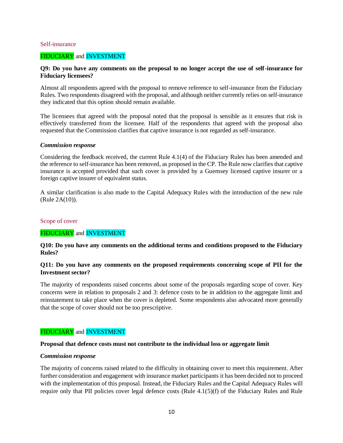#### Self-insurance

#### FIDUCIARY and INVESTMENT

#### **Q9: Do you have any comments on the proposal to no longer accept the use of self-insurance for Fiduciary licensees?**

Almost all respondents agreed with the proposal to remove reference to self-insurance from the Fiduciary Rules. Two respondents disagreed with the proposal, and although neither currently relies on self-insurance they indicated that this option should remain available.

The licensees that agreed with the proposal noted that the proposal is sensible as it ensures that risk is effectively transferred from the licensee. Half of the respondents that agreed with the proposal also requested that the Commission clarifies that captive insurance is not regarded as self-insurance.

#### *Commission response*

Considering the feedback received, the current Rule 4.1(4) of the Fiduciary Rules has been amended and the reference to self-insurance has been removed, as proposed in the CP. The Rule now clarifies that captive insurance is accepted provided that such cover is provided by a Guernsey licensed captive insurer or a foreign captive insurer of equivalent status.

A similar clarification is also made to the Capital Adequacy Rules with the introduction of the new rule (Rule 2A(10)).

#### Scope of cover

#### FIDUCIARY and INVESTMENT

#### **Q10: Do you have any comments on the additional terms and conditions proposed to the Fiduciary Rules?**

#### **Q11: Do you have any comments on the proposed requirements concerning scope of PII for the Investment sector?**

The majority of respondents raised concerns about some of the proposals regarding scope of cover. Key concerns were in relation to proposals 2 and 3: defence costs to be in addition to the aggregate limit and reinstatement to take place when the cover is depleted. Some respondents also advocated more generally that the scope of cover should not be too prescriptive.

#### FIDUCIARY and INVESTMENT

#### **Proposal that defence costs must not contribute to the individual loss or aggregate limit**

#### *Commission response*

The majority of concerns raised related to the difficulty in obtaining cover to meet this requirement. After further consideration and engagement with insurance market participants it has been decided not to proceed with the implementation of this proposal. Instead, the Fiduciary Rules and the Capital Adequacy Rules will require only that PII policies cover legal defence costs (Rule 4.1(5)(f) of the Fiduciary Rules and Rule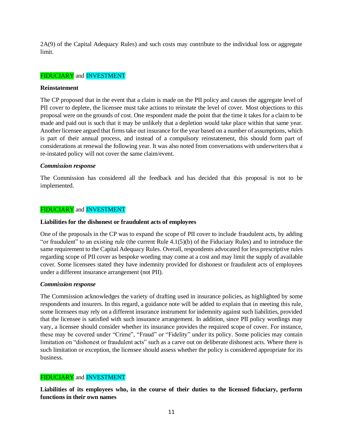2A(9) of the Capital Adequacy Rules) and such costs may contribute to the individual loss or aggregate limit.

#### FIDUCIARY and INVESTMENT

#### **Reinstatement**

The CP proposed that in the event that a claim is made on the PII policy and causes the aggregate level of PII cover to deplete, the licensee must take actions to reinstate the level of cover. Most objections to this proposal were on the grounds of cost. One respondent made the point that the time it takes for a claim to be made and paid out is such that it may be unlikely that a depletion would take place within that same year. Another licensee argued that firms take out insurance for the year based on a number of assumptions, which is part of their annual process, and instead of a compulsory reinstatement, this should form part of considerations at renewal the following year. It was also noted from conversations with underwriters that a re-instated policy will not cover the same claim/event.

#### *Commission response*

The Commission has considered all the feedback and has decided that this proposal is not to be implemented.

#### FIDUCIARY and INVESTMENT

#### **Liabilities for the dishonest or fraudulent acts of employees**

One of the proposals in the CP was to expand the scope of PII cover to include fraudulent acts, by adding "or fraudulent" to an existing rule (the current Rule 4.1(5)(b) of the Fiduciary Rules) and to introduce the same requirement to the Capital Adequacy Rules. Overall, respondents advocated for less prescriptive rules regarding scope of PII cover as bespoke wording may come at a cost and may limit the supply of available cover. Some licensees stated they have indemnity provided for dishonest or fraudulent acts of employees under a different insurance arrangement (not PII).

#### *Commission response*

The Commission acknowledges the variety of drafting used in insurance policies, as highlighted by some respondents and insurers. In this regard, a guidance note will be added to explain that in meeting this rule, some licensees may rely on a different insurance instrument for indemnity against such liabilities, provided that the licensee is satisfied with such insurance arrangement. In addition, since PII policy wordings may vary, a licensee should consider whether its insurance provides the required scope of cover. For instance, these may be covered under "Crime", "Fraud" or "Fidelity" under its policy. Some policies may contain limitation on "dishonest or fraudulent acts" such as a carve out on deliberate dishonest acts. Where there is such limitation or exception, the licensee should assess whether the policy is considered appropriate for its business.

#### FIDUCIARY and INVESTMENT

**Liabilities of its employees who, in the course of their duties to the licensed fiduciary, perform functions in their own names**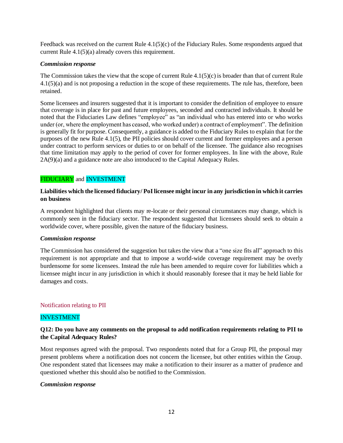Feedback was received on the current Rule 4.1(5)(c) of the Fiduciary Rules. Some respondents argued that current Rule 4.1(5)(a) already covers this requirement.

#### *Commission response*

The Commission takes the view that the scope of current Rule 4.1(5)(c) is broader than that of current Rule 4.1(5)(a) and is not proposing a reduction in the scope of these requirements. The rule has, therefore, been retained.

Some licensees and insurers suggested that it is important to consider the definition of employee to ensure that coverage is in place for past and future employees, seconded and contracted individuals. It should be noted that the Fiduciaries Law defines "employee" as "an individual who has entered into or who works under (or, where the employment has ceased, who worked under) a contract of employment". The definition is generally fit for purpose. Consequently, a guidance is added to the Fiduciary Rules to explain that for the purposes of the new Rule 4.1(5), the PII policies should cover current and former employees and a person under contract to perform services or duties to or on behalf of the licensee. The guidance also recognises that time limitation may apply to the period of cover for former employees. In line with the above, Rule 2A(9)(a) and a guidance note are also introduced to the Capital Adequacy Rules.

## FIDUCIARY and INVESTMENT

## **Liabilities which the licensed fiduciary/ PoI licensee might incur in any jurisdiction in which it carries on business**

A respondent highlighted that clients may re-locate or their personal circumstances may change, which is commonly seen in the fiduciary sector. The respondent suggested that licensees should seek to obtain a worldwide cover, where possible, given the nature of the fiduciary business.

#### *Commission response*

The Commission has considered the suggestion but takes the view that a "one size fits all" approach to this requirement is not appropriate and that to impose a world-wide coverage requirement may be overly burdensome for some licensees. Instead the rule has been amended to require cover for liabilities which a licensee might incur in any jurisdiction in which it should reasonably foresee that it may be held liable for damages and costs.

#### Notification relating to PII

#### INVESTMENT

## **Q12: Do you have any comments on the proposal to add notification requirements relating to PII to the Capital Adequacy Rules?**

Most responses agreed with the proposal. Two respondents noted that for a Group PII, the proposal may present problems where a notification does not concern the licensee, but other entities within the Group. One respondent stated that licensees may make a notification to their insurer as a matter of prudence and questioned whether this should also be notified to the Commission.

#### *Commission response*